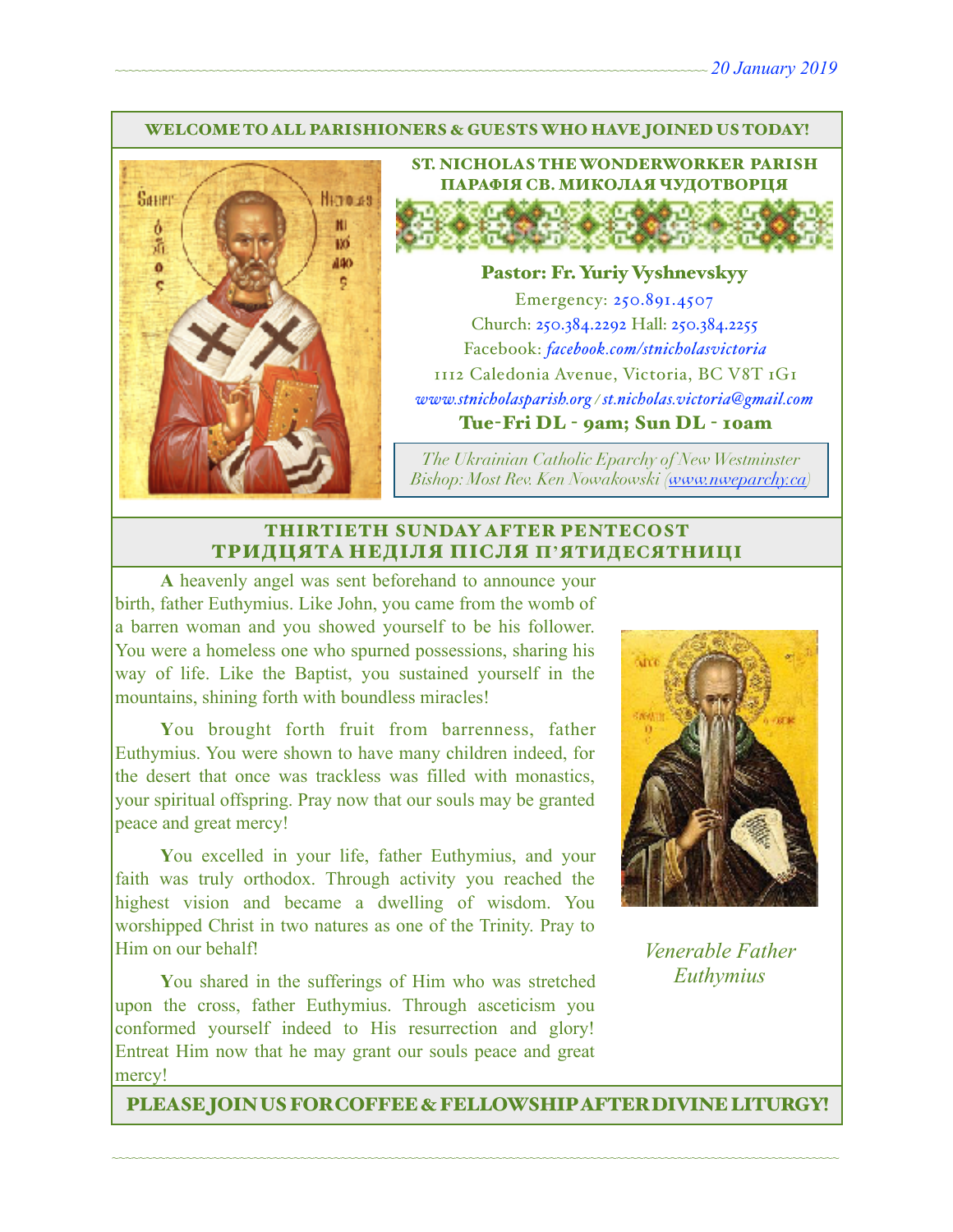#### WELCOME TO ALL PARISHIONERS & GUESTS WHO HAVE JOINED US TODAY!



ST. NICHOLAS THE WONDERWORKER PARISH ПАРАФІЯ СВ. МИКОЛАЯ ЧУДОТВОРЦЯ

#### Pastor: Fr. Yuriy Vyshnevskyy

Emergency: 250.891.4507 Church: 250.384.2292 Hall: 250.384.2255 Facebook: *[facebook.com/stnicholasvictoria](http://facebook.com/stnicholasvictoria)* 1112 Caledonia Avenue, Victoria, BC V8T 1G1 *[www.stnicholasparish.org](http://www.stnicholasparish.org) / [st.nicholas.victoria@gmail.com](mailto:st.nicholas.victoria@gmail.com)* Tue-Fri DL - 9am; Sun DL - 10am

*The Ukrainian Catholic Eparchy of New Westminster Bishop: Most Rev. Ken Nowakowski ([www.nweparchy.ca](http://www.nweparchy.ca))*

#### THIRTIETH SUNDAY AFTER PENTECOST ТРИДЦЯТА НЕДІЛЯ ПІСЛЯ П**'**ЯТИДЕСЯТНИЦІ

**A** heavenly angel was sent beforehand to announce your birth, father Euthymius. Like John, you came from the womb of a barren woman and you showed yourself to be his follower. You were a homeless one who spurned possessions, sharing his way of life. Like the Baptist, you sustained yourself in the mountains, shining forth with boundless miracles!

**Y**ou brought forth fruit from barrenness, father Euthymius. You were shown to have many children indeed, for the desert that once was trackless was filled with monastics, your spiritual offspring. Pray now that our souls may be granted peace and great mercy!

**Y**ou excelled in your life, father Euthymius, and your faith was truly orthodox. Through activity you reached the highest vision and became a dwelling of wisdom. You worshipped Christ in two natures as one of the Trinity. Pray to Him on our behalf!

**Y**ou shared in the sufferings of Him who was stretched upon the cross, father Euthymius. Through asceticism you conformed yourself indeed to His resurrection and glory! Entreat Him now that he may grant our souls peace and great mercy!



*Venerable Father Euthymius*

PLEASE JOIN US FOR COFFEE & FELLOWSHIP AFTER DIVINE LITURGY!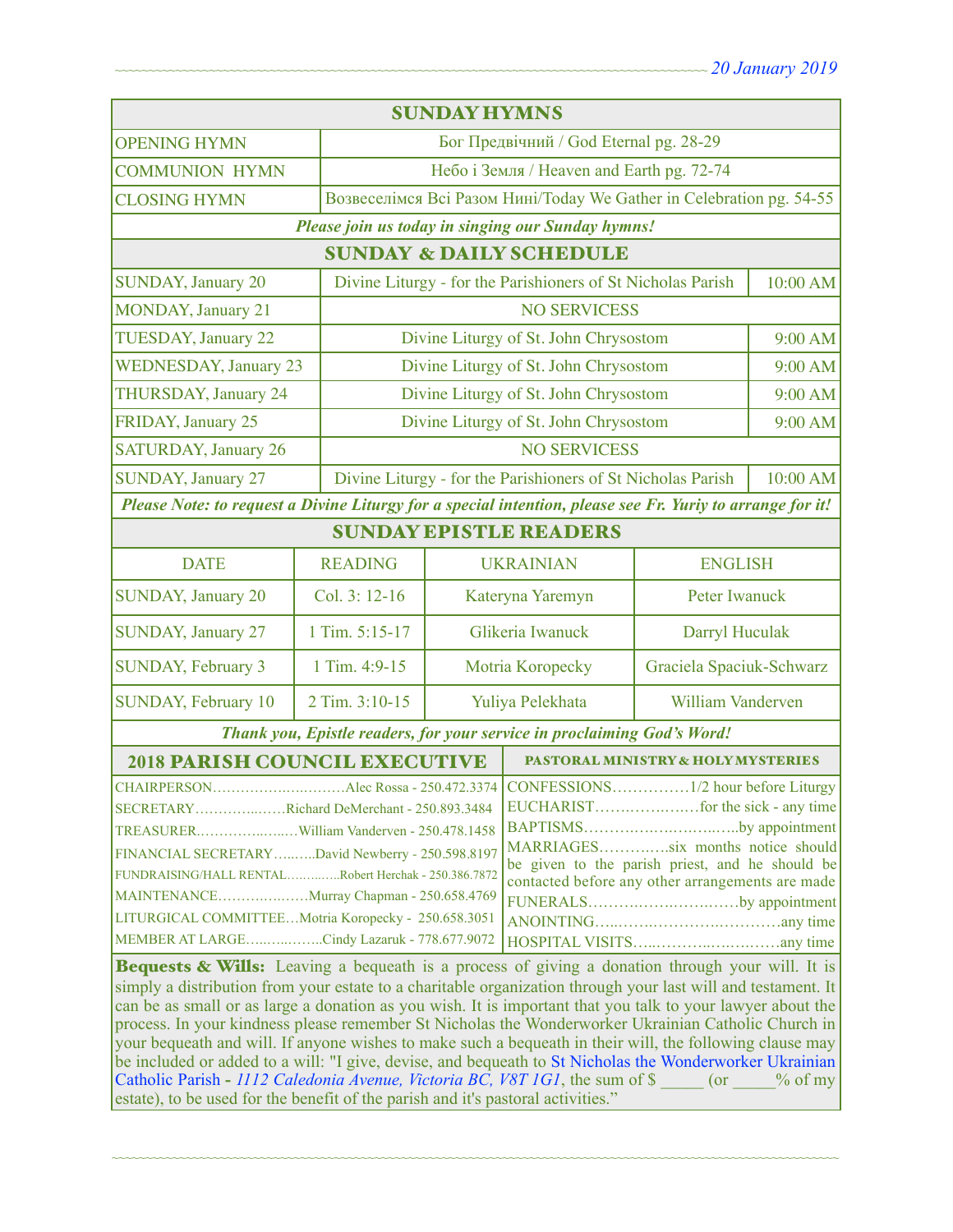| <b>SUNDAY HYMNS</b>                                                                                                                                                                                                                                                                                                                                                                                                                                                                                                                                                                                                                                                                                                                                                                                                                         |                |                                                                         |                                                                      |                                       |          |  |
|---------------------------------------------------------------------------------------------------------------------------------------------------------------------------------------------------------------------------------------------------------------------------------------------------------------------------------------------------------------------------------------------------------------------------------------------------------------------------------------------------------------------------------------------------------------------------------------------------------------------------------------------------------------------------------------------------------------------------------------------------------------------------------------------------------------------------------------------|----------------|-------------------------------------------------------------------------|----------------------------------------------------------------------|---------------------------------------|----------|--|
| <b>OPENING HYMN</b>                                                                                                                                                                                                                                                                                                                                                                                                                                                                                                                                                                                                                                                                                                                                                                                                                         |                |                                                                         | Бог Предвічний / God Eternal pg. 28-29                               |                                       |          |  |
| <b>COMMUNION HYMN</b>                                                                                                                                                                                                                                                                                                                                                                                                                                                                                                                                                                                                                                                                                                                                                                                                                       |                | Небо і Земля / Heaven and Earth pg. 72-74                               |                                                                      |                                       |          |  |
| <b>CLOSING HYMN</b>                                                                                                                                                                                                                                                                                                                                                                                                                                                                                                                                                                                                                                                                                                                                                                                                                         |                |                                                                         | Возвеселімся Всі Разом Нині/Today We Gather in Celebration pg. 54-55 |                                       |          |  |
| Please join us today in singing our Sunday hymns!                                                                                                                                                                                                                                                                                                                                                                                                                                                                                                                                                                                                                                                                                                                                                                                           |                |                                                                         |                                                                      |                                       |          |  |
| <b>SUNDAY &amp; DAILY SCHEDULE</b>                                                                                                                                                                                                                                                                                                                                                                                                                                                                                                                                                                                                                                                                                                                                                                                                          |                |                                                                         |                                                                      |                                       |          |  |
| <b>SUNDAY, January 20</b>                                                                                                                                                                                                                                                                                                                                                                                                                                                                                                                                                                                                                                                                                                                                                                                                                   |                |                                                                         | Divine Liturgy - for the Parishioners of St Nicholas Parish          |                                       | 10:00 AM |  |
| <b>MONDAY</b> , January 21                                                                                                                                                                                                                                                                                                                                                                                                                                                                                                                                                                                                                                                                                                                                                                                                                  |                | <b>NO SERVICESS</b>                                                     |                                                                      |                                       |          |  |
| <b>TUESDAY, January 22</b>                                                                                                                                                                                                                                                                                                                                                                                                                                                                                                                                                                                                                                                                                                                                                                                                                  |                |                                                                         | Divine Liturgy of St. John Chrysostom                                |                                       | 9:00 AM  |  |
| <b>WEDNESDAY, January 23</b>                                                                                                                                                                                                                                                                                                                                                                                                                                                                                                                                                                                                                                                                                                                                                                                                                |                |                                                                         | Divine Liturgy of St. John Chrysostom                                |                                       | 9:00 AM  |  |
| THURSDAY, January 24                                                                                                                                                                                                                                                                                                                                                                                                                                                                                                                                                                                                                                                                                                                                                                                                                        |                | Divine Liturgy of St. John Chrysostom                                   |                                                                      | 9:00 AM                               |          |  |
| FRIDAY, January 25                                                                                                                                                                                                                                                                                                                                                                                                                                                                                                                                                                                                                                                                                                                                                                                                                          |                |                                                                         |                                                                      | Divine Liturgy of St. John Chrysostom |          |  |
| <b>SATURDAY, January 26</b>                                                                                                                                                                                                                                                                                                                                                                                                                                                                                                                                                                                                                                                                                                                                                                                                                 |                | <b>NO SERVICESS</b>                                                     |                                                                      |                                       |          |  |
| <b>SUNDAY, January 27</b>                                                                                                                                                                                                                                                                                                                                                                                                                                                                                                                                                                                                                                                                                                                                                                                                                   |                | Divine Liturgy - for the Parishioners of St Nicholas Parish<br>10:00 AM |                                                                      |                                       |          |  |
| Please Note: to request a Divine Liturgy for a special intention, please see Fr. Yuriy to arrange for it!                                                                                                                                                                                                                                                                                                                                                                                                                                                                                                                                                                                                                                                                                                                                   |                |                                                                         |                                                                      |                                       |          |  |
| <b>SUNDAY EPISTLE READERS</b>                                                                                                                                                                                                                                                                                                                                                                                                                                                                                                                                                                                                                                                                                                                                                                                                               |                |                                                                         |                                                                      |                                       |          |  |
| <b>DATE</b>                                                                                                                                                                                                                                                                                                                                                                                                                                                                                                                                                                                                                                                                                                                                                                                                                                 | <b>READING</b> |                                                                         | <b>UKRAINIAN</b>                                                     | <b>ENGLISH</b>                        |          |  |
| <b>SUNDAY, January 20</b>                                                                                                                                                                                                                                                                                                                                                                                                                                                                                                                                                                                                                                                                                                                                                                                                                   | Col. 3: 12-16  | Kateryna Yaremyn                                                        |                                                                      | Peter Iwanuck                         |          |  |
| <b>SUNDAY, January 27</b>                                                                                                                                                                                                                                                                                                                                                                                                                                                                                                                                                                                                                                                                                                                                                                                                                   | 1 Tim. 5:15-17 | Glikeria Iwanuck                                                        |                                                                      | Darryl Huculak                        |          |  |
| <b>SUNDAY, February 3</b>                                                                                                                                                                                                                                                                                                                                                                                                                                                                                                                                                                                                                                                                                                                                                                                                                   | 1 Tim. 4:9-15  | Motria Koropecky                                                        |                                                                      | Graciela Spaciuk-Schwarz              |          |  |
| SUNDAY, February 10                                                                                                                                                                                                                                                                                                                                                                                                                                                                                                                                                                                                                                                                                                                                                                                                                         | 2 Tim. 3:10-15 | Yuliya Pelekhata                                                        |                                                                      | William Vanderven                     |          |  |
| Thank you, Epistle readers, for your service in proclaiming God's Word!                                                                                                                                                                                                                                                                                                                                                                                                                                                                                                                                                                                                                                                                                                                                                                     |                |                                                                         |                                                                      |                                       |          |  |
| <b>2018 PARISH COUNCIL EXECUTIVE</b>                                                                                                                                                                                                                                                                                                                                                                                                                                                                                                                                                                                                                                                                                                                                                                                                        |                |                                                                         | PASTORAL MINISTRY & HOLY MYSTERIES                                   |                                       |          |  |
| SECRETARYRichard DeMerchant - 250.893.3484<br>BAPTISMSby appointment  <br>MARRIAGESsix months notice should<br>FINANCIAL SECRETARYDavid Newberry - 250.598.8197<br>be given to the parish priest, and he should be<br>FUNDRAISING/HALL RENTALRobert Herchak - 250.386.7872<br>contacted before any other arrangements are made<br>MAINTENANCEMurray Chapman - 250.658.4769<br>FUNERALSby appointment<br>LITURGICAL COMMITTEEMotria Koropecky - 250.658.3051<br>MEMBER AT LARGECindy Lazaruk - 778.677.9072<br>Bequests & Wills: Leaving a bequeath is a process of giving a donation through your will. It is<br>simply a distribution from your estate to a charitable organization through your last will and testament. It<br>can be as small or as large a donation as you wish. It is important that you talk to your lawyer about the |                |                                                                         |                                                                      |                                       |          |  |
| process. In your kindness please remember St Nicholas the Wonderworker Ukrainian Catholic Church in<br>your bequeath and will. If anyone wishes to make such a bequeath in their will, the following clause may<br>be included or added to a will: "I give, devise, and bequeath to St Nicholas the Wonderworker Ukrainian<br>Catholic Parish - 1112 Caledonia Avenue, Victoria BC, V8T 1G1, the sum of \$<br>$($ or<br>$%$ of my                                                                                                                                                                                                                                                                                                                                                                                                           |                |                                                                         |                                                                      |                                       |          |  |

~~~~~~~~~~~~~~~~~~~~~~~~~~~~~~~~~~~~~~~~~~~~~~~~~~~~~~~~~~~~~~~~~~~~~~~~~~~~~~~~~~~~~~~~~~~~~~~~~~~~~~~~~~~~

estate), to be used for the benefit of the parish and it's pastoral activities."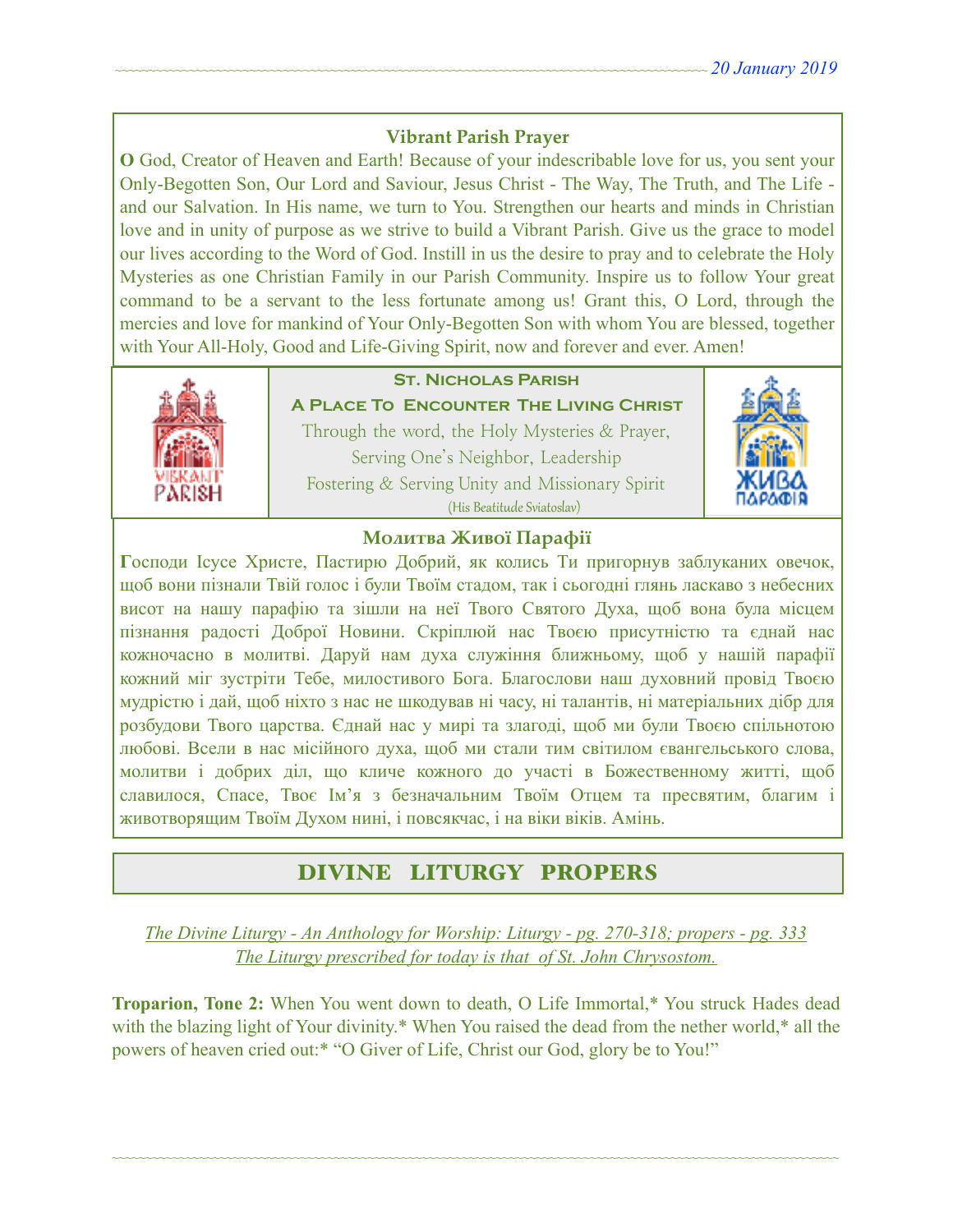### **Vibrant Parish Prayer**

**O** God, Creator of Heaven and Earth! Because of your indescribable love for us, you sent your Only-Begotten Son, Our Lord and Saviour, Jesus Christ - The Way, The Truth, and The Life and our Salvation. In His name, we turn to You. Strengthen our hearts and minds in Christian love and in unity of purpose as we strive to build a Vibrant Parish. Give us the grace to model our lives according to the Word of God. Instill in us the desire to pray and to celebrate the Holy Mysteries as one Christian Family in our Parish Community. Inspire us to follow Your great command to be a servant to the less fortunate among us! Grant this, O Lord, through the mercies and love for mankind of Your Only-Begotten Son with whom You are blessed, together with Your All-Holy, Good and Life-Giving Spirit, now and forever and ever. Amen!



## **St. Nicholas Parish**

**A Place To Encounter The Living Christ** Through the word, the Holy Mysteries & Prayer, Serving One's Neighbor, Leadership Fostering & Serving Unity and Missionary Spirit (His Beatitude Sviatoslav)



### **Молитва Живої Парафії**

**Г**осподи Ісусе Христе, Пастирю Добрий, як колись Ти пригорнув заблуканих овечок, щоб вони пізнали Твій голос і були Твоїм стадом, так і сьогодні глянь ласкаво з небесних висот на нашу парафію та зішли на неї Твого Святого Духа, щоб вона була місцем пізнання радості Доброї Новини. Скріплюй нас Твоєю присутністю та єднай нас кожночасно в молитві. Даруй нам духа служіння ближньому, щоб у нашій парафії кожний міг зустріти Тебе, милостивого Бога. Благослови наш духовний провід Твоєю мудрістю і дай, щоб ніхто з нас не шкодував ні часу, ні талантів, ні матеріальних дібр для розбудови Твого царства. Єднай нас у мирі та злагоді, щоб ми були Твоєю спільнотою любові. Всели в нас місійного духа, щоб ми стали тим світилом євангельського слова, молитви і добрих діл, що кличе кожного до участі в Божественному житті, щоб славилося, Спасе, Твоє Ім'я з безначальним Твоїм Отцем та пресвятим, благим і животворящим Твоїм Духом нині, і повсякчас, і на віки віків. Амінь.

# DIVINE LITURGY PROPERS

*The Divine Liturgy - An Anthology for Worship: Liturgy - pg. 270-318; propers - pg. 333 The Liturgy prescribed for today is that of St. John Chrysostom.* 

**Troparion, Tone 2:** When You went down to death, O Life Immortal,\* You struck Hades dead with the blazing light of Your divinity.\* When You raised the dead from the nether world,\* all the powers of heaven cried out:\* "O Giver of Life, Christ our God, glory be to You!"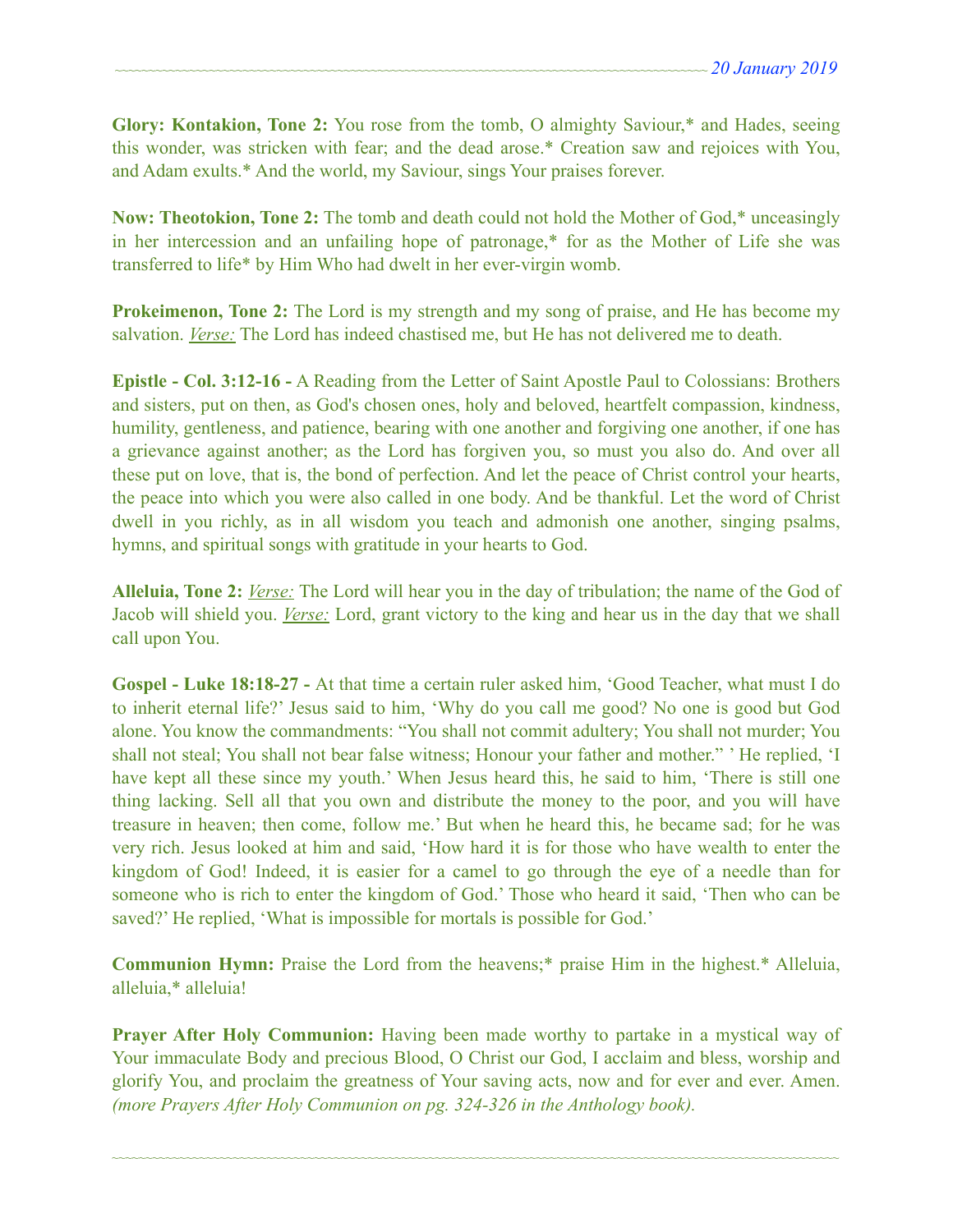**Glory: Kontakion, Tone 2:** You rose from the tomb, O almighty Saviour,\* and Hades, seeing this wonder, was stricken with fear; and the dead arose.\* Creation saw and rejoices with You, and Adam exults.\* And the world, my Saviour, sings Your praises forever.

**Now: Theotokion, Tone 2:** The tomb and death could not hold the Mother of God,\* unceasingly in her intercession and an unfailing hope of patronage,\* for as the Mother of Life she was transferred to life\* by Him Who had dwelt in her ever-virgin womb.

**Prokeimenon, Tone 2:** The Lord is my strength and my song of praise, and He has become my salvation. *Verse:* The Lord has indeed chastised me, but He has not delivered me to death.

**Epistle - Col. 3:12-16 -** A Reading from the Letter of Saint Apostle Paul to Colossians: Brothers and sisters, put on then, as God's chosen ones, holy and beloved, heartfelt compassion, kindness, humility, gentleness, and patience, bearing with one another and forgiving one another, if one has a grievance against another; as the Lord has forgiven you, so must you also do. And over all these put on love, that is, the bond of perfection. And let the peace of Christ control your hearts, the peace into which you were also called in one body. And be thankful. Let the word of Christ dwell in you richly, as in all wisdom you teach and admonish one another, singing psalms, hymns, and spiritual songs with gratitude in your hearts to God.

**Alleluia, Tone 2:** *Verse:* The Lord will hear you in the day of tribulation; the name of the God of Jacob will shield you. *Verse:* Lord, grant victory to the king and hear us in the day that we shall call upon You.

**Gospel - Luke 18:18-27 -** At that time a certain ruler asked him, 'Good Teacher, what must I do to inherit eternal life?' Jesus said to him, 'Why do you call me good? No one is good but God alone. You know the commandments: "You shall not commit adultery; You shall not murder; You shall not steal; You shall not bear false witness; Honour your father and mother." ' He replied, 'I have kept all these since my youth.' When Jesus heard this, he said to him, 'There is still one thing lacking. Sell all that you own and distribute the money to the poor, and you will have treasure in heaven; then come, follow me.' But when he heard this, he became sad; for he was very rich. Jesus looked at him and said, 'How hard it is for those who have wealth to enter the kingdom of God! Indeed, it is easier for a camel to go through the eye of a needle than for someone who is rich to enter the kingdom of God.' Those who heard it said, 'Then who can be saved?' He replied, 'What is impossible for mortals is possible for God.'

**Communion Hymn:** Praise the Lord from the heavens;\* praise Him in the highest.\* Alleluia, alleluia,\* alleluia!

**Prayer After Holy Communion:** Having been made worthy to partake in a mystical way of Your immaculate Body and precious Blood, O Christ our God, I acclaim and bless, worship and glorify You, and proclaim the greatness of Your saving acts, now and for ever and ever. Amen. *(more Prayers After Holy Communion on pg. 324-326 in the Anthology book).*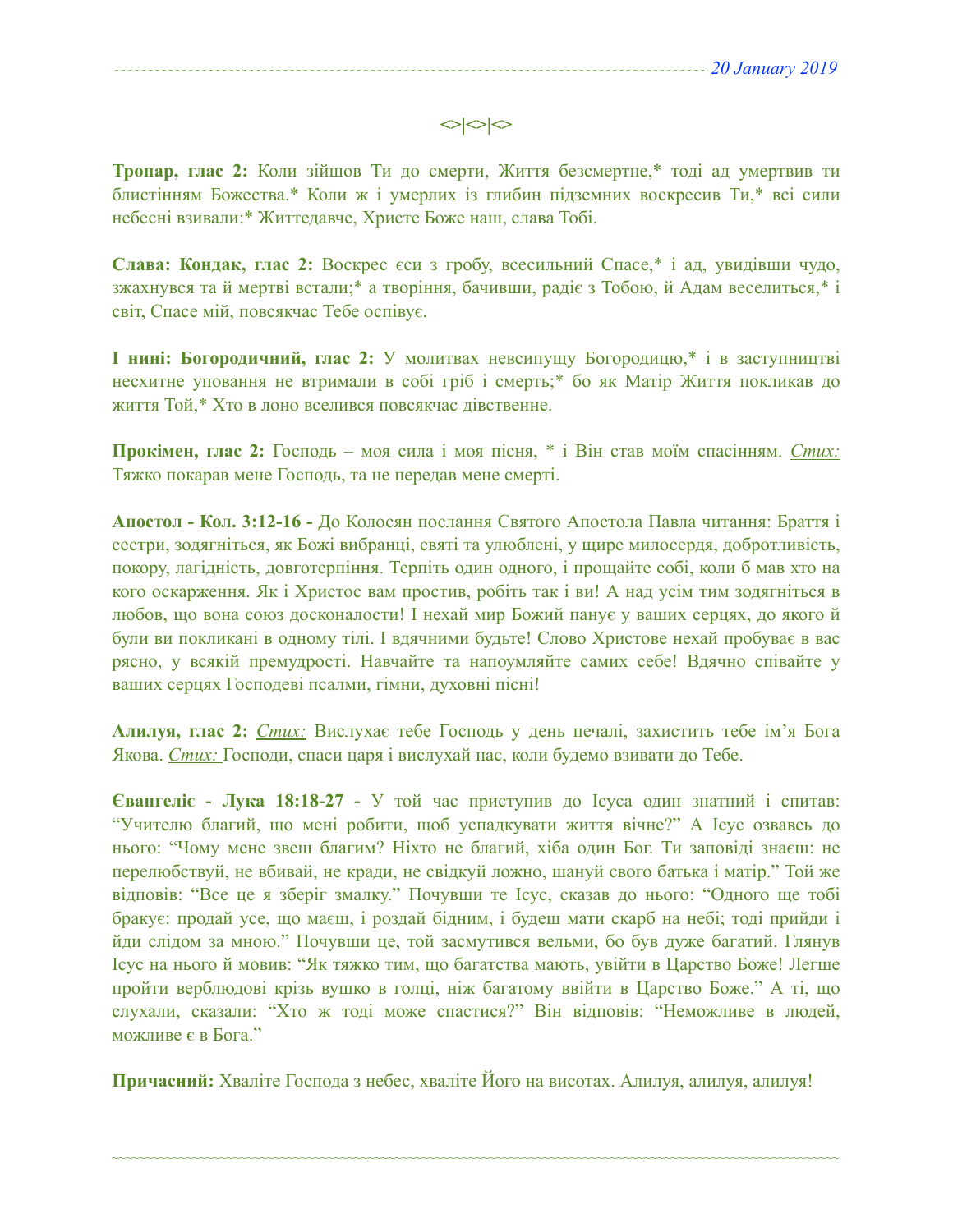### $\left| \diamond \right| \diamond \left| \diamond \right|$

**Тропар, глас 2:** Коли зійшов Ти до смерти, Життя безсмертне,\* тоді ад умертвив ти блистінням Божества.\* Коли ж і умерлих із глибин підземних воскресив Ти,\* всі сили небесні взивали:\* Життедавче, Христе Боже наш, слава Тобі.

**Слава: Кондак, глас 2:** Воскрес єси з гробу, всесильний Спасе,\* і ад, увидівши чудо, зжахнувся та й мертві встали;\* а творіння, бачивши, радіє з Тобою, й Адам веселиться,\* і світ, Спасе мій, повсякчас Тебе оспівує.

**І нині: Богородичний, глас 2:** У молитвах невсипущу Богородицю,\* і в заступництві несхитне уповання не втримали в собі гріб і смерть;\* бо як Матір Життя покликав до життя Той,\* Хто в лоно вселився повсякчас дівственне.

**Прокімен, глас 2:** Господь – моя сила і моя пісня, \* і Він став моїм спасінням. *Стих:*  Тяжко покарав мене Господь, та не передав мене смерті.

**Апостол - Кол. 3:12-16 -** До Колосян послання Святого Апостола Павла читання: Браття і сестри, зодягніться, як Божі вибранці, святі та улюблені, у щире милосердя, добротливість, покору, лагідність, довготерпіння. Терпіть один одного, і прощайте собі, коли б мав хто на кого оскарження. Як і Христос вам простив, робіть так і ви! А над усім тим зодягніться в любов, що вона союз досконалости! І нехай мир Божий панує у ваших серцях, до якого й були ви покликані в одному тілі. І вдячними будьте! Слово Христове нехай пробуває в вас рясно, у всякій премудрості. Навчайте та напоумляйте самих себе! Вдячно співайте у ваших серцях Господеві псалми, гімни, духовні пісні!

**Алилуя, глас 2:** *Стих:* Вислухає тебе Господь у день печалі, захистить тебе ім'я Бога Якова. *Стих:* Господи, спаси царя і вислухай нас, коли будемо взивати до Тебе.

**Євангеліє - Лука 18:18-27 -** У той час приступив до Ісуса один знатний і спитав: "Учителю благий, що мені робити, щоб успадкувати життя вічне?" А Ісус озвавсь до нього: "Чому мене звеш благим? Ніхто не благий, хіба один Бог. Ти заповіді знаєш: не перелюбствуй, не вбивай, не кради, не свідкуй ложно, шануй свого батька і матір." Той же відповів: "Все це я зберіг змалку." Почувши те Ісус, сказав до нього: "Одного ще тобі бракує: продай усе, що маєш, і роздай бідним, і будеш мати скарб на небі; тоді прийди і йди слідом за мною." Почувши це, той засмутився вельми, бо був дуже багатий. Глянув Ісус на нього й мовив: "Як тяжко тим, що багатства мають, увійти в Царство Боже! Легше пройти верблюдові крізь вушко в голці, ніж багатому ввійти в Царство Боже." А ті, що слухали, сказали: "Хто ж тоді може спастися?" Він відповів: "Неможливе в людей, можливе є в Бога."

**Причасний:** Хваліте Господа з небес, хваліте Його на висотах. Алилуя, aлилуя, aлилуя!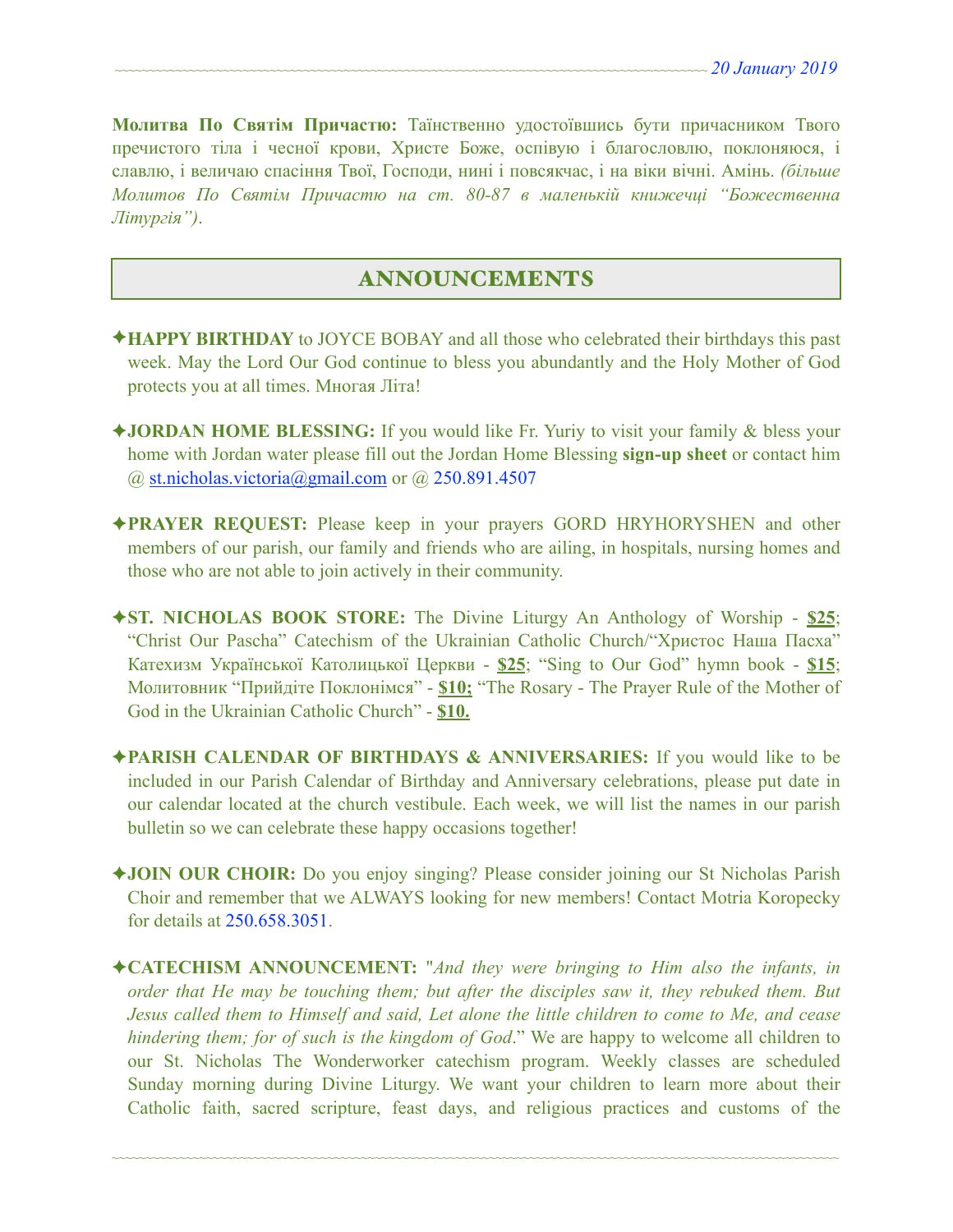**Молитва По Святім Причастю:** Таїнственно удостоївшись бути причасником Твого пречистого тіла і чесної крови, Христе Боже, оспівую і благословлю, поклоняюся, і славлю, і величаю спасіння Твої, Господи, нині і повсякчас, і на віки вічні. Амінь. *(більше Молитов По Святім Причастю на ст. 80-87 в маленькій книжечці "Божественна Літургія")*.

#### ANNOUNCEMENTS

- ✦**HAPPY BIRTHDAY** to JOYCE BOBAY and all those who celebrated their birthdays this past week. May the Lord Our God continue to bless you abundantly and the Holy Mother of God protects you at all times. Многая Літа!
- ✦**JORDAN HOME BLESSING:** If you would like Fr. Yuriy to visit your family & bless your home with Jordan water please fill out the Jordan Home Blessing **sign-up sheet** or contact him  $\omega$  st.nicholas.victoria $\omega$ gmail.com or  $\omega$  250.891.4507
- ✦**PRAYER REQUEST:** Please keep in your prayers GORD HRYHORYSHEN and other members of our parish, our family and friends who are ailing, in hospitals, nursing homes and those who are not able to join actively in their community.
- ✦**ST. NICHOLAS BOOK STORE:** The Divine Liturgy An Anthology of Worship **\$25**; "Christ Our Pascha" Catechism of the Ukrainian Catholic Church/"Христос Наша Пасха" Катехизм Української Католицької Церкви - **\$25**; "Sing to Our God" hymn book - **\$15**; Молитовник "Прийдіте Поклонімся" - **\$10;** "The Rosary - The Prayer Rule of the Mother of God in the Ukrainian Catholic Church" - **\$10.**
- ✦**PARISH CALENDAR OF BIRTHDAYS & ANNIVERSARIES:** If you would like to be included in our Parish Calendar of Birthday and Anniversary celebrations, please put date in our calendar located at the church vestibule. Each week, we will list the names in our parish bulletin so we can celebrate these happy occasions together!
- ✦**JOIN OUR CHOIR:** Do you enjoy singing? Please consider joining our St Nicholas Parish Choir and remember that we ALWAYS looking for new members! Contact Motria Koropecky for details at 250.658.3051.
- ✦**CATECHISM ANNOUNCEMENT:** "*And they were bringing to Him also the infants, in order that He may be touching them; but after the disciples saw it, they rebuked them. But Jesus called them to Himself and said, Let alone the little children to come to Me, and cease hindering them; for of such is the kingdom of God*." We are happy to welcome all children to our St. Nicholas The Wonderworker catechism program. Weekly classes are scheduled Sunday morning during Divine Liturgy. We want your children to learn more about their Catholic faith, sacred scripture, feast days, and religious practices and customs of the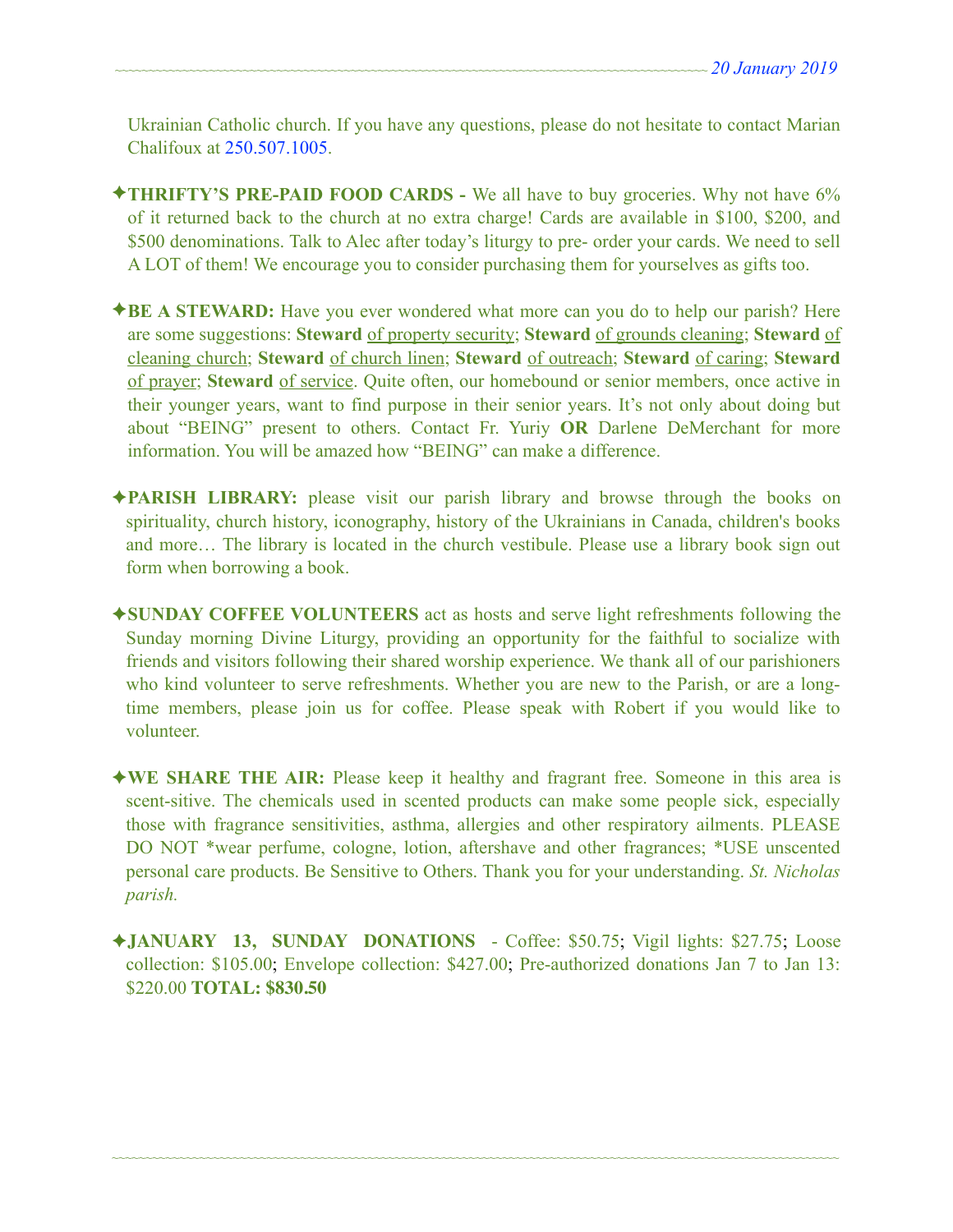Ukrainian Catholic church. If you have any questions, please do not hesitate to contact Marian Chalifoux at 250.507.1005.

- ✦**THRIFTY'S PRE-PAID FOOD CARDS** We all have to buy groceries. Why not have 6% of it returned back to the church at no extra charge! Cards are available in \$100, \$200, and \$500 denominations. Talk to Alec after today's liturgy to pre- order your cards. We need to sell A LOT of them! We encourage you to consider purchasing them for yourselves as gifts too.
- ✦**BE A STEWARD:** Have you ever wondered what more can you do to help our parish? Here are some suggestions: **Steward** of property security; **Steward** of grounds cleaning; **Steward** of cleaning church; **Steward** of church linen; **Steward** of outreach; **Steward** of caring; **Steward** of prayer; **Steward** of service. Quite often, our homebound or senior members, once active in their younger years, want to find purpose in their senior years. It's not only about doing but about "BEING" present to others. Contact Fr. Yuriy **OR** Darlene DeMerchant for more information. You will be amazed how "BEING" can make a difference.
- ✦**PARISH LIBRARY:** please visit our parish library and browse through the books on spirituality, church history, iconography, history of the Ukrainians in Canada, children's books and more… The library is located in the church vestibule. Please use a library book sign out form when borrowing a book.
- ✦**SUNDAY COFFEE VOLUNTEERS** act as hosts and serve light refreshments following the Sunday morning Divine Liturgy, providing an opportunity for the faithful to socialize with friends and visitors following their shared worship experience. We thank all of our parishioners who kind volunteer to serve refreshments. Whether you are new to the Parish, or are a longtime members, please join us for coffee. Please speak with Robert if you would like to volunteer.
- ✦**WE SHARE THE AIR:** Please keep it healthy and fragrant free. Someone in this area is scent-sitive. The chemicals used in scented products can make some people sick, especially those with fragrance sensitivities, asthma, allergies and other respiratory ailments. PLEASE DO NOT \*wear perfume, cologne, lotion, aftershave and other fragrances; \*USE unscented personal care products. Be Sensitive to Others. Thank you for your understanding. *St. Nicholas parish.*
- ✦**JANUARY 13, SUNDAY DONATIONS**  Coffee: \$50.75; Vigil lights: \$27.75; Loose collection: \$105.00; Envelope collection: \$427.00; Pre-authorized donations Jan 7 to Jan 13: \$220.00 **TOTAL: \$830.50**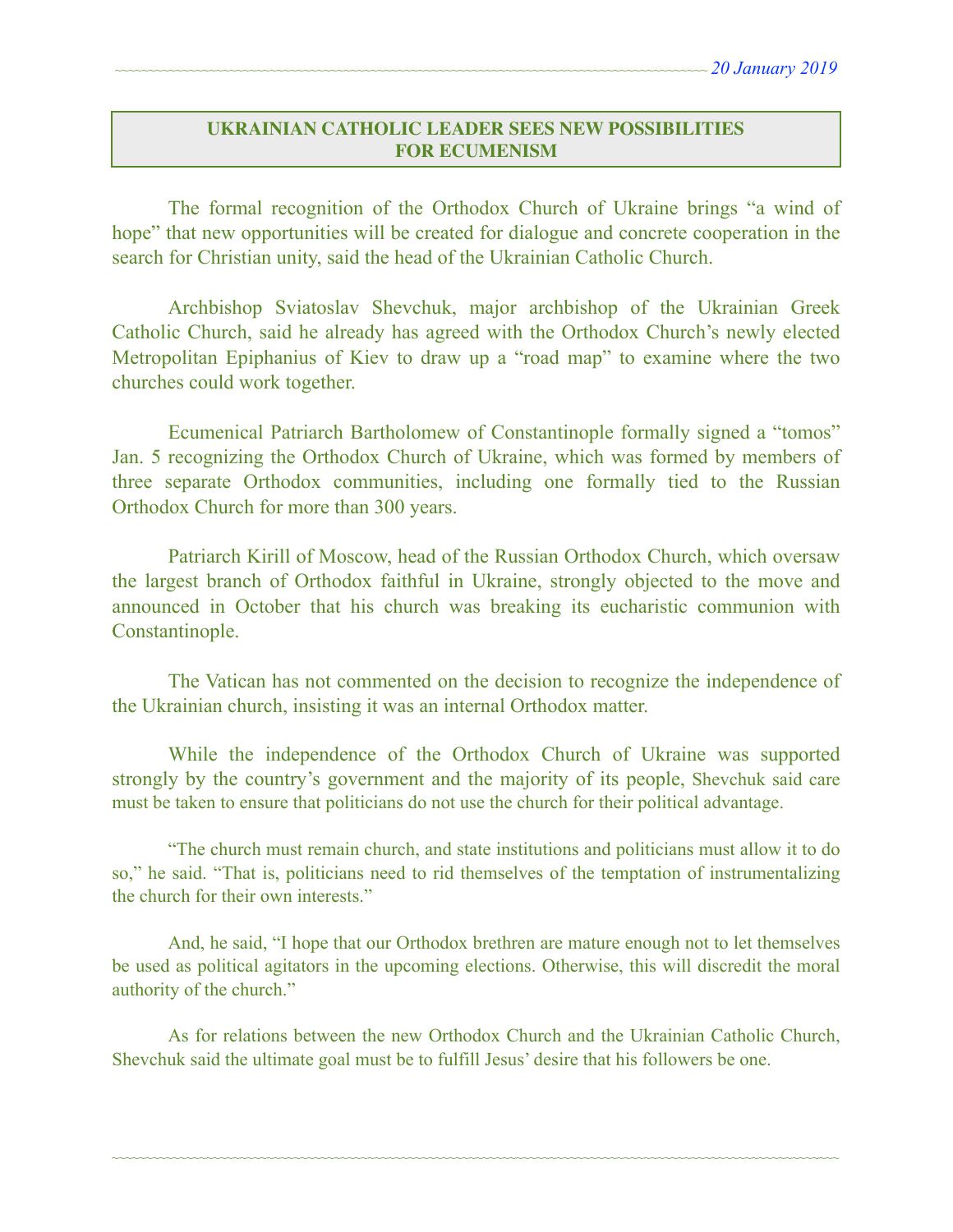#### **UKRAINIAN CATHOLIC LEADER SEES NEW POSSIBILITIES FOR ECUMENISM**

The formal recognition of the Orthodox Church of Ukraine brings "a wind of hope" that new opportunities will be created for dialogue and concrete cooperation in the search for Christian unity, said the head of the Ukrainian Catholic Church.

 Archbishop Sviatoslav Shevchuk, major archbishop of the Ukrainian Greek Catholic Church, said he already has agreed with the Orthodox Church's newly elected Metropolitan Epiphanius of Kiev to draw up a "road map" to examine where the two churches could work together.

 Ecumenical Patriarch Bartholomew of Constantinople formally signed a "tomos" Jan. 5 recognizing the Orthodox Church of Ukraine, which was formed by members of three separate Orthodox communities, including one formally tied to the Russian Orthodox Church for more than 300 years.

 Patriarch Kirill of Moscow, head of the Russian Orthodox Church, which oversaw the largest branch of Orthodox faithful in Ukraine, strongly objected to the move and announced in October that his church was breaking its eucharistic communion with Constantinople.

 The Vatican has not commented on the decision to recognize the independence of the Ukrainian church, insisting it was an internal Orthodox matter.

While the independence of the Orthodox Church of Ukraine was supported strongly by the country's government and the majority of its people, Shevchuk said care must be taken to ensure that politicians do not use the church for their political advantage.

 "The church must remain church, and state institutions and politicians must allow it to do so," he said. "That is, politicians need to rid themselves of the temptation of instrumentalizing the church for their own interests."

 And, he said, "I hope that our Orthodox brethren are mature enough not to let themselves be used as political agitators in the upcoming elections. Otherwise, this will discredit the moral authority of the church."

 As for relations between the new Orthodox Church and the Ukrainian Catholic Church, Shevchuk said the ultimate goal must be to fulfill Jesus' desire that his followers be one.